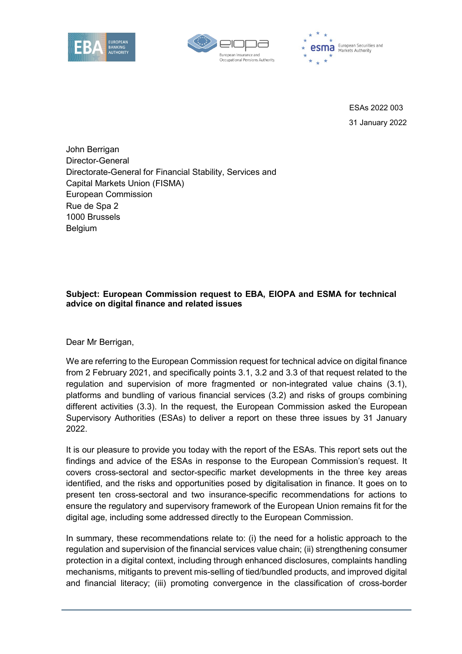





ESAs 2022 003 31 January 2022

John Berrigan Director-General Directorate-General for Financial Stability, Services and Capital Markets Union (FISMA) European Commission Rue de Spa 2 1000 Brussels Belgium

## **Subject: European Commission request to EBA, EIOPA and ESMA for technical advice on digital finance and related issues**

Dear Mr Berrigan,

We are referring to the European Commission request for technical advice on digital finance from 2 February 2021, and specifically points 3.1, 3.2 and 3.3 of that request related to the regulation and supervision of more fragmented or non-integrated value chains (3.1), platforms and bundling of various financial services (3.2) and risks of groups combining different activities (3.3). In the request, the European Commission asked the European Supervisory Authorities (ESAs) to deliver a report on these three issues by 31 January 2022.

It is our pleasure to provide you today with the report of the ESAs. This report sets out the findings and advice of the ESAs in response to the European Commission's request. It covers cross-sectoral and sector-specific market developments in the three key areas identified, and the risks and opportunities posed by digitalisation in finance. It goes on to present ten cross-sectoral and two insurance-specific recommendations for actions to ensure the regulatory and supervisory framework of the European Union remains fit for the digital age, including some addressed directly to the European Commission.

In summary, these recommendations relate to: (i) the need for a holistic approach to the regulation and supervision of the financial services value chain; (ii) strengthening consumer protection in a digital context, including through enhanced disclosures, complaints handling mechanisms, mitigants to prevent mis-selling of tied/bundled products, and improved digital and financial literacy; (iii) promoting convergence in the classification of cross-border